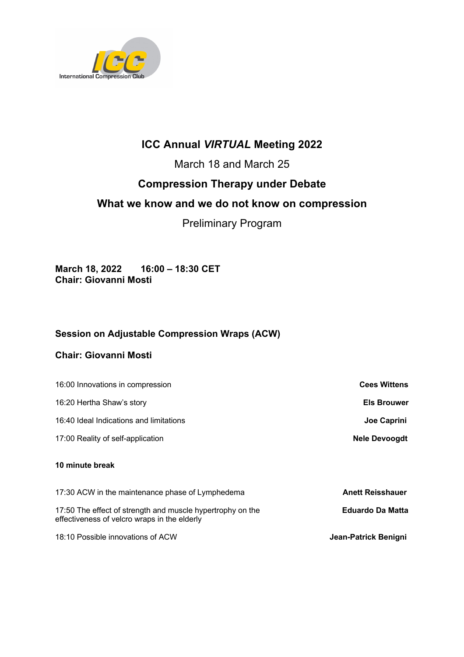

# **ICC Annual** *VIRTUAL* **Meeting 2022**

March 18 and March 25

## **Compression Therapy under Debate**

## **What we know and we do not know on compression**

## Preliminary Program

**March 18, 2022 16:00 – 18:30 CET Chair: Giovanni Mosti**

### **Session on Adjustable Compression Wraps (ACW)**

#### **Chair: Giovanni Mosti**

| 16:00 Innovations in compression                                                                           | <b>Cees Wittens</b>     |
|------------------------------------------------------------------------------------------------------------|-------------------------|
| 16:20 Hertha Shaw's story                                                                                  | <b>Els Brouwer</b>      |
| 16:40 Ideal Indications and limitations                                                                    | Joe Caprini             |
| 17:00 Reality of self-application                                                                          | <b>Nele Devoogdt</b>    |
| 10 minute break                                                                                            |                         |
| 17:30 ACW in the maintenance phase of Lymphedema                                                           | <b>Anett Reisshauer</b> |
| 17:50 The effect of strength and muscle hypertrophy on the<br>effectiveness of velcro wraps in the elderly | <b>Eduardo Da Matta</b> |
| 18:10 Possible innovations of ACW                                                                          | Jean-Patrick Benigni    |